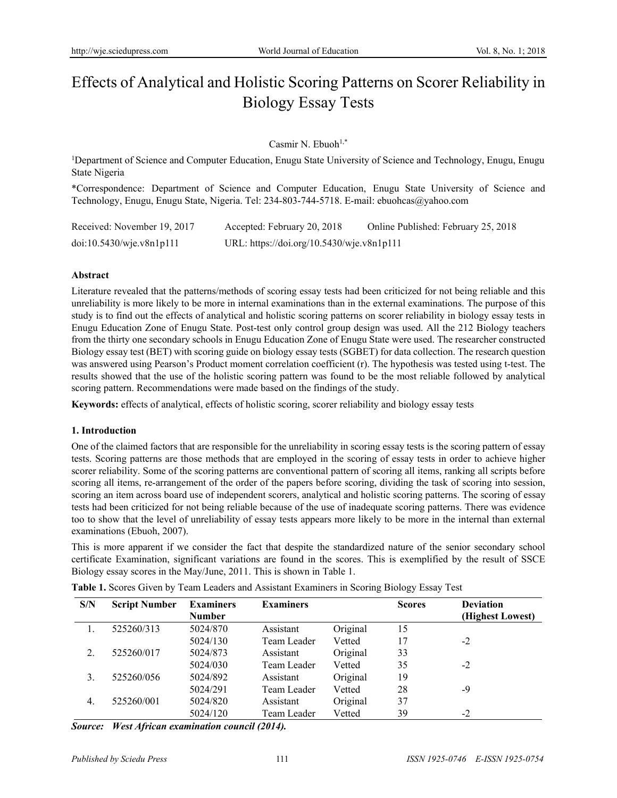# Effects of Analytical and Holistic Scoring Patterns on Scorer Reliability in Biology Essay Tests

## Casmir N. Ebuoh<sup>1,\*</sup>

<sup>1</sup>Department of Science and Computer Education, Enugu State University of Science and Technology, Enugu, Enugu State Nigeria

\*Correspondence: Department of Science and Computer Education, Enugu State University of Science and Technology, Enugu, Enugu State, Nigeria. Tel: 234-803-744-5718. E-mail: ebuohcas@yahoo.com

| Received: November 19, 2017 | Accepted: February 20, 2018               | Online Published: February 25, 2018 |
|-----------------------------|-------------------------------------------|-------------------------------------|
| doi:10.5430/wje.v8n1p111    | URL: https://doi.org/10.5430/wje.v8n1p111 |                                     |

#### **Abstract**

Literature revealed that the patterns/methods of scoring essay tests had been criticized for not being reliable and this unreliability is more likely to be more in internal examinations than in the external examinations. The purpose of this study is to find out the effects of analytical and holistic scoring patterns on scorer reliability in biology essay tests in Enugu Education Zone of Enugu State. Post-test only control group design was used. All the 212 Biology teachers from the thirty one secondary schools in Enugu Education Zone of Enugu State were used. The researcher constructed Biology essay test (BET) with scoring guide on biology essay tests (SGBET) for data collection. The research question was answered using Pearson's Product moment correlation coefficient (r). The hypothesis was tested using t-test. The results showed that the use of the holistic scoring pattern was found to be the most reliable followed by analytical scoring pattern. Recommendations were made based on the findings of the study.

**Keywords:** effects of analytical, effects of holistic scoring, scorer reliability and biology essay tests

#### **1. Introduction**

One of the claimed factors that are responsible for the unreliability in scoring essay tests is the scoring pattern of essay tests. Scoring patterns are those methods that are employed in the scoring of essay tests in order to achieve higher scorer reliability. Some of the scoring patterns are conventional pattern of scoring all items, ranking all scripts before scoring all items, re-arrangement of the order of the papers before scoring, dividing the task of scoring into session, scoring an item across board use of independent scorers, analytical and holistic scoring patterns. The scoring of essay tests had been criticized for not being reliable because of the use of inadequate scoring patterns. There was evidence too to show that the level of unreliability of essay tests appears more likely to be more in the internal than external examinations (Ebuoh, 2007).

This is more apparent if we consider the fact that despite the standardized nature of the senior secondary school certificate Examination, significant variations are found in the scores. This is exemplified by the result of SSCE Biology essay scores in the May/June, 2011. This is shown in Table 1.

| S/N          | <b>Script Number</b> | <b>Examiners</b><br>Number | <b>Examiners</b> |          | <b>Scores</b> | <b>Deviation</b><br>(Highest Lowest) |
|--------------|----------------------|----------------------------|------------------|----------|---------------|--------------------------------------|
|              | 525260/313           | 5024/870                   | Assistant        | Original | 15            |                                      |
|              |                      | 5024/130                   | Team Leader      | Vetted   | 17            | $-2$                                 |
| 2            | 525260/017           | 5024/873                   | Assistant        | Original | 33            |                                      |
|              |                      | 5024/030                   | Team Leader      | Vetted   | 35            | $-2$                                 |
| 3            | 525260/056           | 5024/892                   | Assistant        | Original | 19            |                                      |
|              |                      | 5024/291                   | Team Leader      | Vetted   | 28            | -9                                   |
| $\mathbf{4}$ | 525260/001           | 5024/820                   | Assistant        | Original | 37            |                                      |
|              |                      | 5024/120                   | Team Leader      | Vetted   | 39            | $-2$                                 |

**Table 1.** Scores Given by Team Leaders and Assistant Examiners in Scoring Biology Essay Test

*Source: West African examination council (2014).*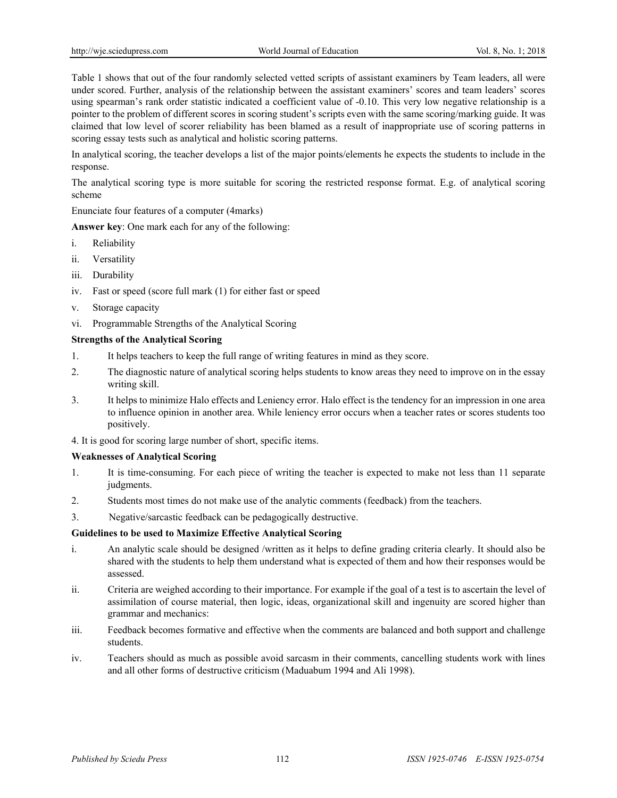Table 1 shows that out of the four randomly selected vetted scripts of assistant examiners by Team leaders, all were under scored. Further, analysis of the relationship between the assistant examiners' scores and team leaders' scores using spearman's rank order statistic indicated a coefficient value of -0.10. This very low negative relationship is a pointer to the problem of different scores in scoring student's scripts even with the same scoring/marking guide. It was claimed that low level of scorer reliability has been blamed as a result of inappropriate use of scoring patterns in scoring essay tests such as analytical and holistic scoring patterns.

In analytical scoring, the teacher develops a list of the major points/elements he expects the students to include in the response.

The analytical scoring type is more suitable for scoring the restricted response format. E.g. of analytical scoring scheme

Enunciate four features of a computer (4marks)

**Answer key**: One mark each for any of the following:

- i. Reliability
- ii. Versatility
- iii. Durability
- iv. Fast or speed (score full mark (1) for either fast or speed
- v. Storage capacity
- vi. Programmable Strengths of the Analytical Scoring

#### **Strengths of the Analytical Scoring**

- 1. It helps teachers to keep the full range of writing features in mind as they score.
- 2. The diagnostic nature of analytical scoring helps students to know areas they need to improve on in the essay writing skill.
- 3. It helps to minimize Halo effects and Leniency error. Halo effect is the tendency for an impression in one area to influence opinion in another area. While leniency error occurs when a teacher rates or scores students too positively.
- 4. It is good for scoring large number of short, specific items.

#### **Weaknesses of Analytical Scoring**

- 1. It is time-consuming. For each piece of writing the teacher is expected to make not less than 11 separate judgments.
- 2. Students most times do not make use of the analytic comments (feedback) from the teachers.
- 3. Negative/sarcastic feedback can be pedagogically destructive.

#### **Guidelines to be used to Maximize Effective Analytical Scoring**

- i. An analytic scale should be designed /written as it helps to define grading criteria clearly. It should also be shared with the students to help them understand what is expected of them and how their responses would be assessed.
- ii. Criteria are weighed according to their importance. For example if the goal of a test is to ascertain the level of assimilation of course material, then logic, ideas, organizational skill and ingenuity are scored higher than grammar and mechanics:
- iii. Feedback becomes formative and effective when the comments are balanced and both support and challenge students.
- iv. Teachers should as much as possible avoid sarcasm in their comments, cancelling students work with lines and all other forms of destructive criticism (Maduabum 1994 and Ali 1998).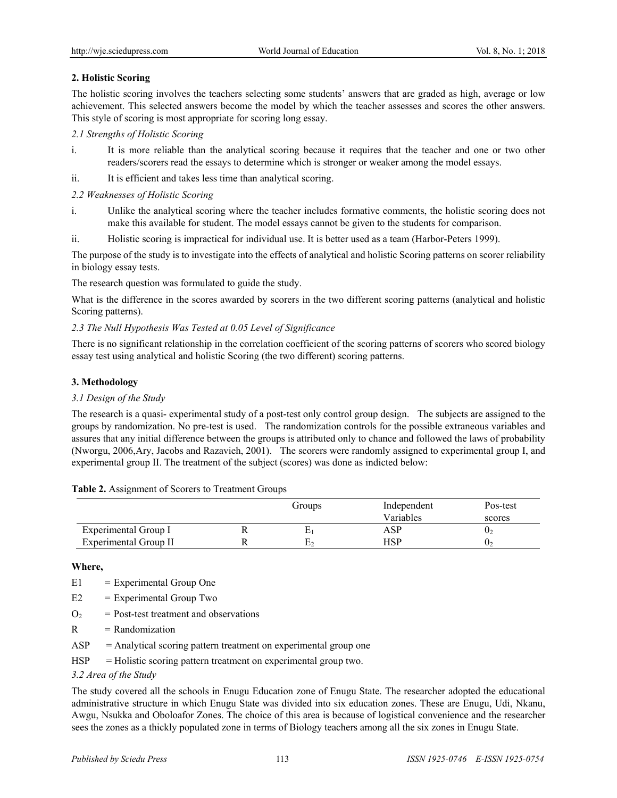# **2. Holistic Scoring**

The holistic scoring involves the teachers selecting some students' answers that are graded as high, average or low achievement. This selected answers become the model by which the teacher assesses and scores the other answers. This style of scoring is most appropriate for scoring long essay.

### *2.1 Strengths of Holistic Scoring*

- i. It is more reliable than the analytical scoring because it requires that the teacher and one or two other readers/scorers read the essays to determine which is stronger or weaker among the model essays.
- ii. It is efficient and takes less time than analytical scoring.

## *2.2 Weaknesses of Holistic Scoring*

- i. Unlike the analytical scoring where the teacher includes formative comments, the holistic scoring does not make this available for student. The model essays cannot be given to the students for comparison.
- ii. Holistic scoring is impractical for individual use. It is better used as a team (Harbor-Peters 1999).

The purpose of the study is to investigate into the effects of analytical and holistic Scoring patterns on scorer reliability in biology essay tests.

The research question was formulated to guide the study.

What is the difference in the scores awarded by scorers in the two different scoring patterns (analytical and holistic Scoring patterns).

## *2.3 The Null Hypothesis Was Tested at 0.05 Level of Significance*

There is no significant relationship in the correlation coefficient of the scoring patterns of scorers who scored biology essay test using analytical and holistic Scoring (the two different) scoring patterns.

#### **3. Methodology**

#### *3.1 Design of the Study*

The research is a quasi- experimental study of a post-test only control group design. The subjects are assigned to the groups by randomization. No pre-test is used. The randomization controls for the possible extraneous variables and assures that any initial difference between the groups is attributed only to chance and followed the laws of probability (Nworgu, 2006,Ary, Jacobs and Razavieh, 2001). The scorers were randomly assigned to experimental group I, and experimental group II. The treatment of the subject (scores) was done as indicted below:

| Table 2. Assignment of Scorers to Treatment Groups |  |  |  |
|----------------------------------------------------|--|--|--|
|----------------------------------------------------|--|--|--|

|                       | Groups | Independent | Pos-test |
|-----------------------|--------|-------------|----------|
|                       |        | Variables   | scores   |
| Experimental Group I  |        | ASP         | $U_2$    |
| Experimental Group II |        | HSP         | U7       |

#### **Where,**

- E1 = Experimental Group One
- $E2 = Experimental Group Two$
- $Q_2$  = Post-test treatment and observations
- $R = Randomization$
- $ASP = Analytical scoring pattern treatment on experimental group one$
- $HSP = Holistic scoring pattern treatment on experimental group two.$

#### *3.2 Area of the Study*

The study covered all the schools in Enugu Education zone of Enugu State. The researcher adopted the educational administrative structure in which Enugu State was divided into six education zones. These are Enugu, Udi, Nkanu, Awgu, Nsukka and Oboloafor Zones. The choice of this area is because of logistical convenience and the researcher sees the zones as a thickly populated zone in terms of Biology teachers among all the six zones in Enugu State.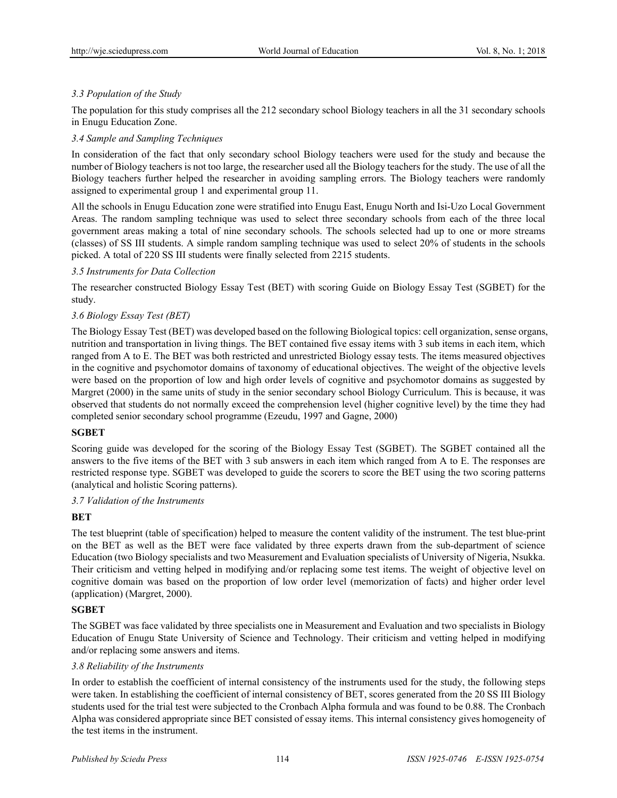# *3.3 Population of the Study*

The population for this study comprises all the 212 secondary school Biology teachers in all the 31 secondary schools in Enugu Education Zone.

### *3.4 Sample and Sampling Techniques*

In consideration of the fact that only secondary school Biology teachers were used for the study and because the number of Biology teachers is not too large, the researcher used all the Biology teachers for the study. The use of all the Biology teachers further helped the researcher in avoiding sampling errors. The Biology teachers were randomly assigned to experimental group 1 and experimental group 11.

All the schools in Enugu Education zone were stratified into Enugu East, Enugu North and Isi-Uzo Local Government Areas. The random sampling technique was used to select three secondary schools from each of the three local government areas making a total of nine secondary schools. The schools selected had up to one or more streams (classes) of SS III students. A simple random sampling technique was used to select 20% of students in the schools picked. A total of 220 SS III students were finally selected from 2215 students.

#### *3.5 Instruments for Data Collection*

The researcher constructed Biology Essay Test (BET) with scoring Guide on Biology Essay Test (SGBET) for the study.

## *3.6 Biology Essay Test (BET)*

The Biology Essay Test (BET) was developed based on the following Biological topics: cell organization, sense organs, nutrition and transportation in living things. The BET contained five essay items with 3 sub items in each item, which ranged from A to E. The BET was both restricted and unrestricted Biology essay tests. The items measured objectives in the cognitive and psychomotor domains of taxonomy of educational objectives. The weight of the objective levels were based on the proportion of low and high order levels of cognitive and psychomotor domains as suggested by Margret (2000) in the same units of study in the senior secondary school Biology Curriculum. This is because, it was observed that students do not normally exceed the comprehension level (higher cognitive level) by the time they had completed senior secondary school programme (Ezeudu, 1997 and Gagne, 2000)

#### **SGBET**

Scoring guide was developed for the scoring of the Biology Essay Test (SGBET). The SGBET contained all the answers to the five items of the BET with 3 sub answers in each item which ranged from A to E. The responses are restricted response type. SGBET was developed to guide the scorers to score the BET using the two scoring patterns (analytical and holistic Scoring patterns).

## *3.7 Validation of the Instruments*

#### **BET**

The test blueprint (table of specification) helped to measure the content validity of the instrument. The test blue-print on the BET as well as the BET were face validated by three experts drawn from the sub-department of science Education (two Biology specialists and two Measurement and Evaluation specialists of University of Nigeria, Nsukka. Their criticism and vetting helped in modifying and/or replacing some test items. The weight of objective level on cognitive domain was based on the proportion of low order level (memorization of facts) and higher order level (application) (Margret, 2000).

#### **SGBET**

The SGBET was face validated by three specialists one in Measurement and Evaluation and two specialists in Biology Education of Enugu State University of Science and Technology. Their criticism and vetting helped in modifying and/or replacing some answers and items.

# *3.8 Reliability of the Instruments*

In order to establish the coefficient of internal consistency of the instruments used for the study, the following steps were taken. In establishing the coefficient of internal consistency of BET, scores generated from the 20 SS III Biology students used for the trial test were subjected to the Cronbach Alpha formula and was found to be 0.88. The Cronbach Alpha was considered appropriate since BET consisted of essay items. This internal consistency gives homogeneity of the test items in the instrument.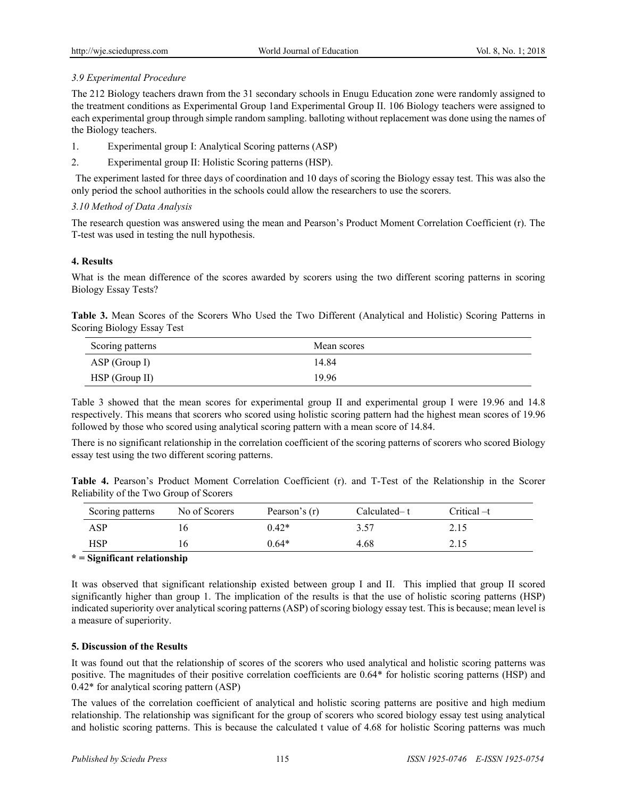# *3.9 Experimental Procedure*

The 212 Biology teachers drawn from the 31 secondary schools in Enugu Education zone were randomly assigned to the treatment conditions as Experimental Group 1and Experimental Group II. 106 Biology teachers were assigned to each experimental group through simple random sampling. balloting without replacement was done using the names of the Biology teachers.

- 1. Experimental group I: Analytical Scoring patterns (ASP)
- 2. Experimental group II: Holistic Scoring patterns (HSP).

 The experiment lasted for three days of coordination and 10 days of scoring the Biology essay test. This was also the only period the school authorities in the schools could allow the researchers to use the scorers.

# *3.10 Method of Data Analysis*

The research question was answered using the mean and Pearson's Product Moment Correlation Coefficient (r). The T-test was used in testing the null hypothesis.

# **4. Results**

What is the mean difference of the scores awarded by scorers using the two different scoring patterns in scoring Biology Essay Tests?

**Table 3.** Mean Scores of the Scorers Who Used the Two Different (Analytical and Holistic) Scoring Patterns in Scoring Biology Essay Test

| Scoring patterns | Mean scores |
|------------------|-------------|
| ASP (Group I)    | 14.84       |
| $HSP$ (Group II) | 19.96       |

Table 3 showed that the mean scores for experimental group II and experimental group I were 19.96 and 14.8 respectively. This means that scorers who scored using holistic scoring pattern had the highest mean scores of 19.96 followed by those who scored using analytical scoring pattern with a mean score of 14.84.

There is no significant relationship in the correlation coefficient of the scoring patterns of scorers who scored Biology essay test using the two different scoring patterns.

|                                         |  |  |  |  | Table 4. Pearson's Product Moment Correlation Coefficient (r). and T-Test of the Relationship in the Scorer |  |  |
|-----------------------------------------|--|--|--|--|-------------------------------------------------------------------------------------------------------------|--|--|
| Reliability of the Two Group of Scorers |  |  |  |  |                                                                                                             |  |  |

| No of Scorers | Pearson's (r) | Calculated–t | Critical –t |
|---------------|---------------|--------------|-------------|
|               | $0.42*$       | 3.57         | 2.15        |
|               | $0.64*$       | 4.68         | 2.15        |
|               |               |              |             |

# **\* = Significant relationship**

It was observed that significant relationship existed between group I and II. This implied that group II scored significantly higher than group 1. The implication of the results is that the use of holistic scoring patterns (HSP) indicated superiority over analytical scoring patterns (ASP) of scoring biology essay test. This is because; mean level is a measure of superiority.

# **5. Discussion of the Results**

It was found out that the relationship of scores of the scorers who used analytical and holistic scoring patterns was positive. The magnitudes of their positive correlation coefficients are 0.64\* for holistic scoring patterns (HSP) and 0.42\* for analytical scoring pattern (ASP)

The values of the correlation coefficient of analytical and holistic scoring patterns are positive and high medium relationship. The relationship was significant for the group of scorers who scored biology essay test using analytical and holistic scoring patterns. This is because the calculated t value of 4.68 for holistic Scoring patterns was much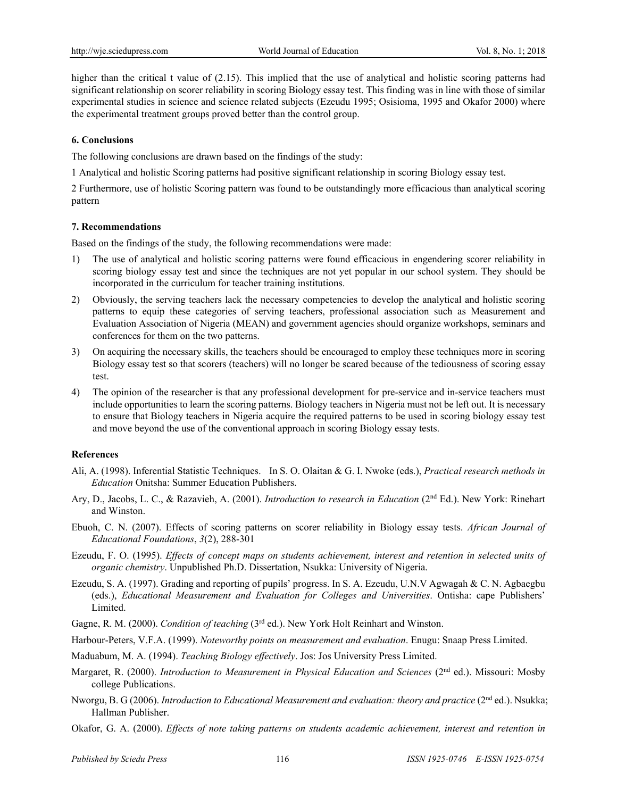higher than the critical t value of (2.15). This implied that the use of analytical and holistic scoring patterns had significant relationship on scorer reliability in scoring Biology essay test. This finding was in line with those of similar experimental studies in science and science related subjects (Ezeudu 1995; Osisioma, 1995 and Okafor 2000) where the experimental treatment groups proved better than the control group.

### **6. Conclusions**

The following conclusions are drawn based on the findings of the study:

1 Analytical and holistic Scoring patterns had positive significant relationship in scoring Biology essay test.

2 Furthermore, use of holistic Scoring pattern was found to be outstandingly more efficacious than analytical scoring pattern

#### **7. Recommendations**

Based on the findings of the study, the following recommendations were made:

- 1) The use of analytical and holistic scoring patterns were found efficacious in engendering scorer reliability in scoring biology essay test and since the techniques are not yet popular in our school system. They should be incorporated in the curriculum for teacher training institutions.
- 2) Obviously, the serving teachers lack the necessary competencies to develop the analytical and holistic scoring patterns to equip these categories of serving teachers, professional association such as Measurement and Evaluation Association of Nigeria (MEAN) and government agencies should organize workshops, seminars and conferences for them on the two patterns.
- 3) On acquiring the necessary skills, the teachers should be encouraged to employ these techniques more in scoring Biology essay test so that scorers (teachers) will no longer be scared because of the tediousness of scoring essay test.
- 4) The opinion of the researcher is that any professional development for pre-service and in-service teachers must include opportunities to learn the scoring patterns. Biology teachers in Nigeria must not be left out. It is necessary to ensure that Biology teachers in Nigeria acquire the required patterns to be used in scoring biology essay test and move beyond the use of the conventional approach in scoring Biology essay tests.

# **References**

- Ali, A. (1998). Inferential Statistic Techniques. In S. O. Olaitan & G. I. Nwoke (eds.), *Practical research methods in Education* Onitsha: Summer Education Publishers.
- Ary, D., Jacobs, L. C., & Razavieh, A. (2001). *Introduction to research in Education* (2nd Ed.). New York: Rinehart and Winston.
- Ebuoh, C. N. (2007). Effects of scoring patterns on scorer reliability in Biology essay tests. *African Journal of Educational Foundations*, *3*(2), 288-301
- Ezeudu, F. O. (1995). *Effects of concept maps on students achievement, interest and retention in selected units of organic chemistry*. Unpublished Ph.D. Dissertation, Nsukka: University of Nigeria.
- Ezeudu, S. A. (1997). Grading and reporting of pupils' progress. In S. A. Ezeudu, U.N.V Agwagah & C. N. Agbaegbu (eds.), *Educational Measurement and Evaluation for Colleges and Universities*. Ontisha: cape Publishers' Limited.
- Gagne, R. M. (2000). *Condition of teaching* (3rd ed.). New York Holt Reinhart and Winston.

Harbour-Peters, V.F.A. (1999). *Noteworthy points on measurement and evaluation*. Enugu: Snaap Press Limited.

- Maduabum, M. A. (1994). *Teaching Biology effectively*. Jos: Jos University Press Limited.
- Margaret, R. (2000). *Introduction to Measurement in Physical Education and Sciences* (2nd ed.). Missouri: Mosby college Publications.
- Nworgu, B. G (2006). *Introduction to Educational Measurement and evaluation: theory and practice* (2<sup>nd</sup> ed.). Nsukka; Hallman Publisher.
- Okafor, G. A. (2000). *Effects of note taking patterns on students academic achievement, interest and retention in*